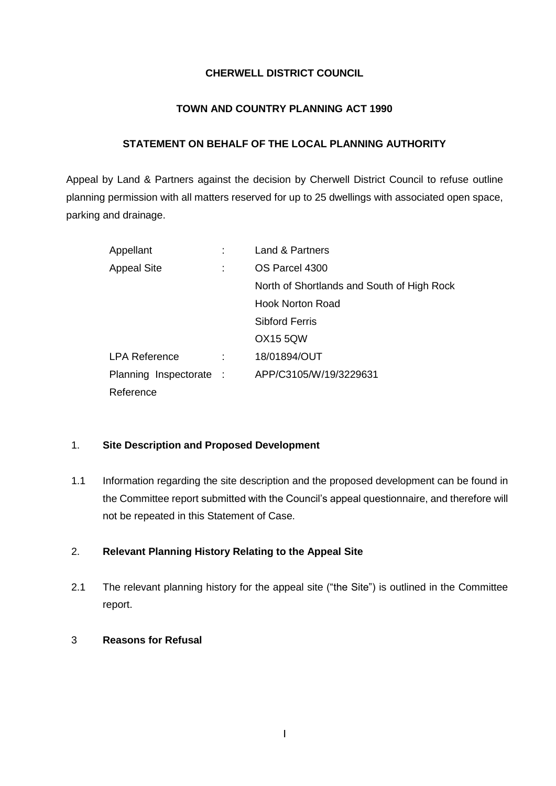### **CHERWELL DISTRICT COUNCIL**

### **TOWN AND COUNTRY PLANNING ACT 1990**

### **STATEMENT ON BEHALF OF THE LOCAL PLANNING AUTHORITY**

Appeal by Land & Partners against the decision by Cherwell District Council to refuse outline planning permission with all matters reserved for up to 25 dwellings with associated open space, parking and drainage.

| Appellant               | Land & Partners                            |
|-------------------------|--------------------------------------------|
| <b>Appeal Site</b>      | OS Parcel 4300                             |
|                         | North of Shortlands and South of High Rock |
|                         | <b>Hook Norton Road</b>                    |
|                         | <b>Sibford Ferris</b>                      |
|                         | <b>OX15 5QW</b>                            |
| <b>LPA Reference</b>    | 18/01894/OUT                               |
| Planning Inspectorate : | APP/C3105/W/19/3229631                     |
| Reference               |                                            |

### 1. **Site Description and Proposed Development**

1.1 Information regarding the site description and the proposed development can be found in the Committee report submitted with the Council's appeal questionnaire, and therefore will not be repeated in this Statement of Case.

# 2. **Relevant Planning History Relating to the Appeal Site**

2.1 The relevant planning history for the appeal site ("the Site") is outlined in the Committee report.

### 3 **Reasons for Refusal**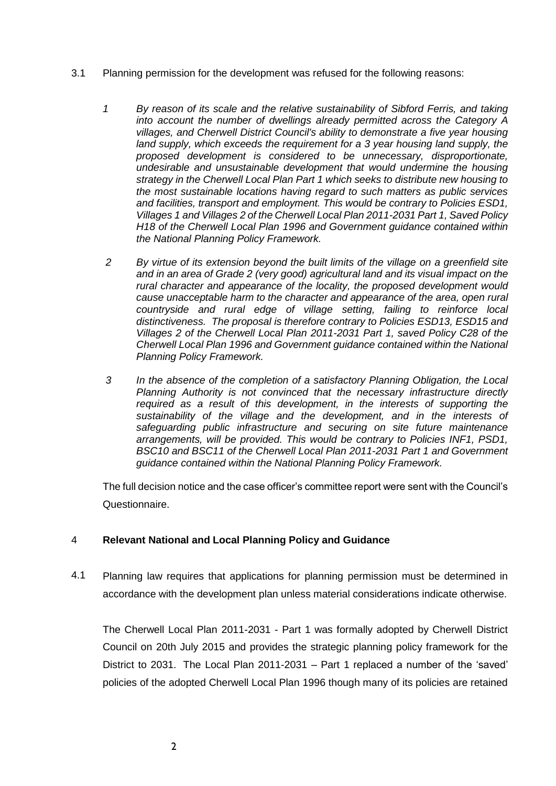- 3.1 Planning permission for the development was refused for the following reasons:
	- *1 By reason of its scale and the relative sustainability of Sibford Ferris, and taking into account the number of dwellings already permitted across the Category A villages, and Cherwell District Council's ability to demonstrate a five year housing land supply, which exceeds the requirement for a 3 year housing land supply, the proposed development is considered to be unnecessary, disproportionate, undesirable and unsustainable development that would undermine the housing strategy in the Cherwell Local Plan Part 1 which seeks to distribute new housing to the most sustainable locations having regard to such matters as public services and facilities, transport and employment. This would be contrary to Policies ESD1, Villages 1 and Villages 2 of the Cherwell Local Plan 2011-2031 Part 1, Saved Policy H18 of the Cherwell Local Plan 1996 and Government guidance contained within the National Planning Policy Framework.*
	- *2 By virtue of its extension beyond the built limits of the village on a greenfield site and in an area of Grade 2 (very good) agricultural land and its visual impact on the rural character and appearance of the locality, the proposed development would cause unacceptable harm to the character and appearance of the area, open rural countryside and rural edge of village setting, failing to reinforce local distinctiveness. The proposal is therefore contrary to Policies ESD13, ESD15 and Villages 2 of the Cherwell Local Plan 2011-2031 Part 1, saved Policy C28 of the Cherwell Local Plan 1996 and Government guidance contained within the National Planning Policy Framework.*
	- *3 In the absence of the completion of a satisfactory Planning Obligation, the Local Planning Authority is not convinced that the necessary infrastructure directly required as a result of this development, in the interests of supporting the sustainability of the village and the development, and in the interests of safeguarding public infrastructure and securing on site future maintenance arrangements, will be provided. This would be contrary to Policies INF1, PSD1, BSC10 and BSC11 of the Cherwell Local Plan 2011-2031 Part 1 and Government guidance contained within the National Planning Policy Framework.*

The full decision notice and the case officer's committee report were sent with the Council's Questionnaire.

#### 4 **Relevant National and Local Planning Policy and Guidance**

4.1 Planning law requires that applications for planning permission must be determined in accordance with the development plan unless material considerations indicate otherwise.

The Cherwell Local Plan 2011-2031 - Part 1 was formally adopted by Cherwell District Council on 20th July 2015 and provides the strategic planning policy framework for the District to 2031. The Local Plan 2011-2031 – Part 1 replaced a number of the 'saved' policies of the adopted Cherwell Local Plan 1996 though many of its policies are retained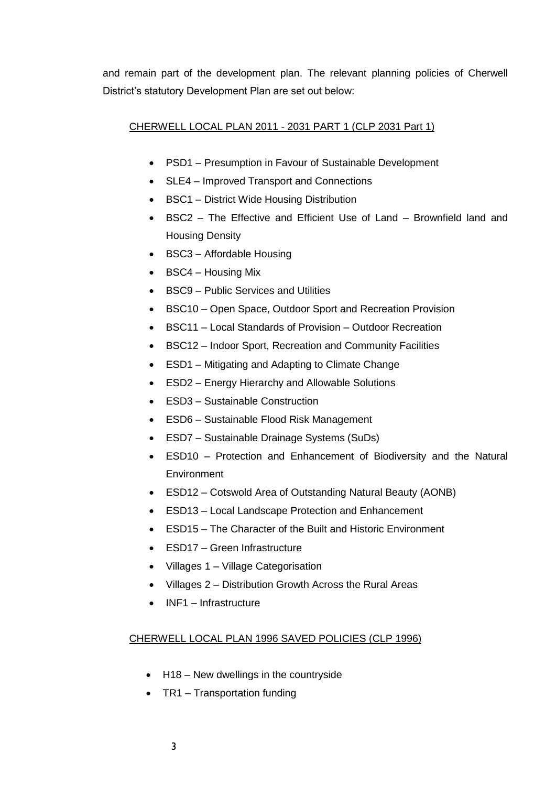and remain part of the development plan. The relevant planning policies of Cherwell District's statutory Development Plan are set out below:

# CHERWELL LOCAL PLAN 2011 - 2031 PART 1 (CLP 2031 Part 1)

- PSD1 Presumption in Favour of Sustainable Development
- SLE4 Improved Transport and Connections
- BSC1 District Wide Housing Distribution
- BSC2 The Effective and Efficient Use of Land Brownfield land and Housing Density
- BSC3 Affordable Housing
- BSC4 Housing Mix
- BSC9 Public Services and Utilities
- BSC10 Open Space, Outdoor Sport and Recreation Provision
- BSC11 Local Standards of Provision Outdoor Recreation
- BSC12 Indoor Sport, Recreation and Community Facilities
- ESD1 Mitigating and Adapting to Climate Change
- ESD2 Energy Hierarchy and Allowable Solutions
- ESD3 Sustainable Construction
- ESD6 Sustainable Flood Risk Management
- ESD7 Sustainable Drainage Systems (SuDs)
- ESD10 Protection and Enhancement of Biodiversity and the Natural **Environment**
- ESD12 Cotswold Area of Outstanding Natural Beauty (AONB)
- ESD13 Local Landscape Protection and Enhancement
- ESD15 The Character of the Built and Historic Environment
- ESD17 Green Infrastructure
- Villages 1 Village Categorisation
- Villages 2 Distribution Growth Across the Rural Areas
- INF1 Infrastructure

# CHERWELL LOCAL PLAN 1996 SAVED POLICIES (CLP 1996)

- H18 New dwellings in the countryside
- TR1 Transportation funding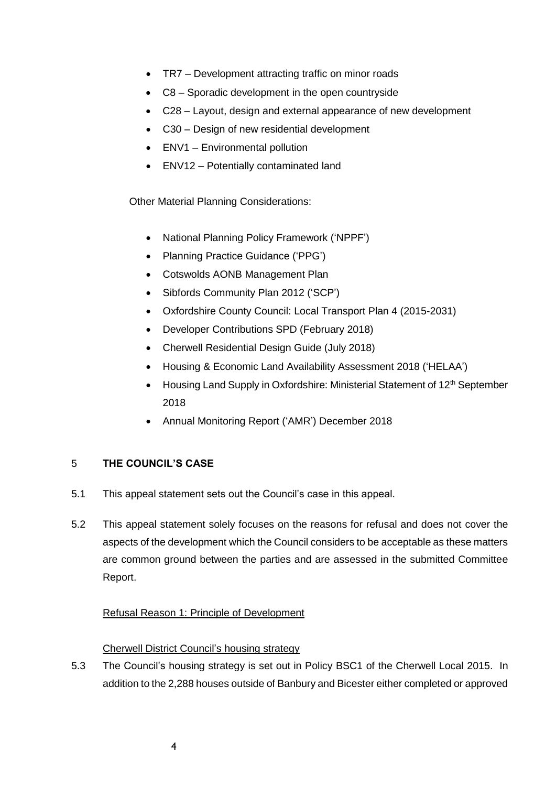- TR7 Development attracting traffic on minor roads
- C8 Sporadic development in the open countryside
- C28 Layout, design and external appearance of new development
- C30 Design of new residential development
- ENV1 Environmental pollution
- ENV12 Potentially contaminated land

Other Material Planning Considerations:

- National Planning Policy Framework ('NPPF')
- Planning Practice Guidance ('PPG')
- Cotswolds AONB Management Plan
- Sibfords Community Plan 2012 ('SCP')
- Oxfordshire County Council: Local Transport Plan 4 (2015-2031)
- Developer Contributions SPD (February 2018)
- Cherwell Residential Design Guide (July 2018)
- Housing & Economic Land Availability Assessment 2018 ('HELAA')
- Housing Land Supply in Oxfordshire: Ministerial Statement of 12<sup>th</sup> September 2018
- Annual Monitoring Report ('AMR') December 2018

# 5 **THE COUNCIL'S CASE**

- 5.1 This appeal statement sets out the Council's case in this appeal.
- 5.2 This appeal statement solely focuses on the reasons for refusal and does not cover the aspects of the development which the Council considers to be acceptable as these matters are common ground between the parties and are assessed in the submitted Committee Report.

# Refusal Reason 1: Principle of Development

# Cherwell District Council's housing strategy

5.3 The Council's housing strategy is set out in Policy BSC1 of the Cherwell Local 2015. In addition to the 2,288 houses outside of Banbury and Bicester either completed or approved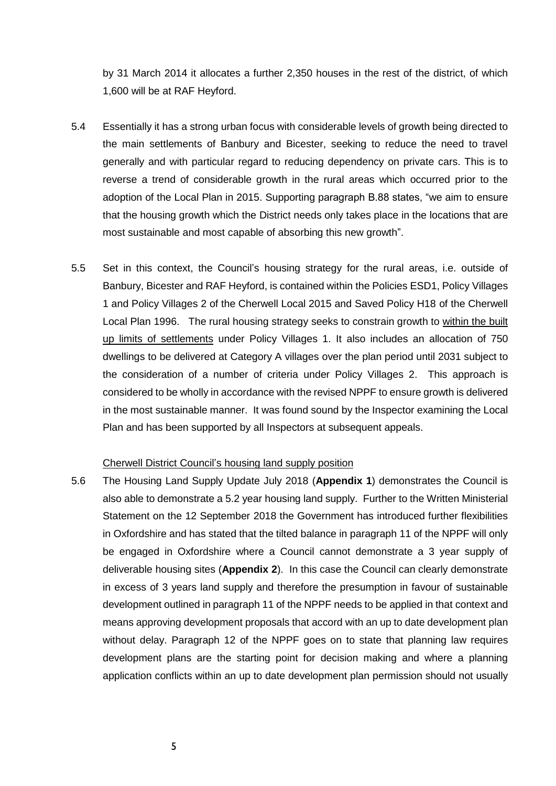by 31 March 2014 it allocates a further 2,350 houses in the rest of the district, of which 1,600 will be at RAF Heyford.

- 5.4 Essentially it has a strong urban focus with considerable levels of growth being directed to the main settlements of Banbury and Bicester, seeking to reduce the need to travel generally and with particular regard to reducing dependency on private cars. This is to reverse a trend of considerable growth in the rural areas which occurred prior to the adoption of the Local Plan in 2015. Supporting paragraph B.88 states, "we aim to ensure that the housing growth which the District needs only takes place in the locations that are most sustainable and most capable of absorbing this new growth".
- 5.5 Set in this context, the Council's housing strategy for the rural areas, i.e. outside of Banbury, Bicester and RAF Heyford, is contained within the Policies ESD1, Policy Villages 1 and Policy Villages 2 of the Cherwell Local 2015 and Saved Policy H18 of the Cherwell Local Plan 1996. The rural housing strategy seeks to constrain growth to within the built up limits of settlements under Policy Villages 1. It also includes an allocation of 750 dwellings to be delivered at Category A villages over the plan period until 2031 subject to the consideration of a number of criteria under Policy Villages 2. This approach is considered to be wholly in accordance with the revised NPPF to ensure growth is delivered in the most sustainable manner. It was found sound by the Inspector examining the Local Plan and has been supported by all Inspectors at subsequent appeals.

### Cherwell District Council's housing land supply position

5.6 The Housing Land Supply Update July 2018 (**Appendix 1**) demonstrates the Council is also able to demonstrate a 5.2 year housing land supply. Further to the Written Ministerial Statement on the 12 September 2018 the Government has introduced further flexibilities in Oxfordshire and has stated that the tilted balance in paragraph 11 of the NPPF will only be engaged in Oxfordshire where a Council cannot demonstrate a 3 year supply of deliverable housing sites (**Appendix 2**). In this case the Council can clearly demonstrate in excess of 3 years land supply and therefore the presumption in favour of sustainable development outlined in paragraph 11 of the NPPF needs to be applied in that context and means approving development proposals that accord with an up to date development plan without delay. Paragraph 12 of the NPPF goes on to state that planning law requires development plans are the starting point for decision making and where a planning application conflicts within an up to date development plan permission should not usually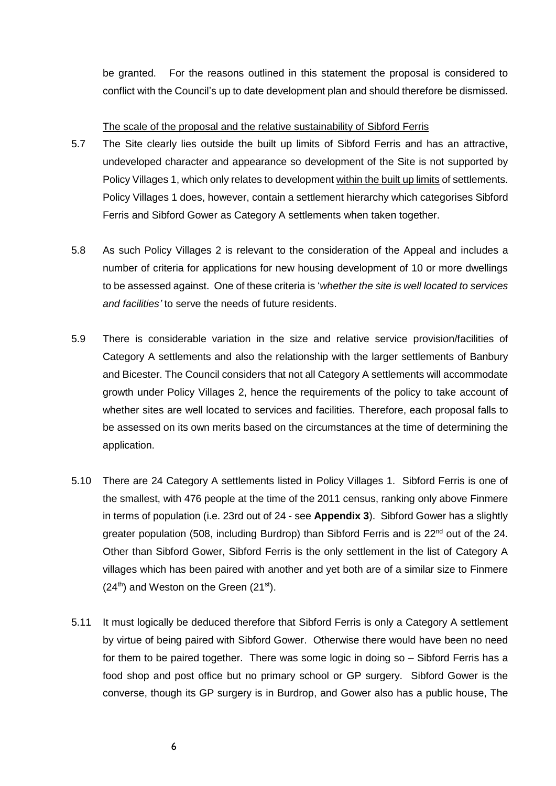be granted. For the reasons outlined in this statement the proposal is considered to conflict with the Council's up to date development plan and should therefore be dismissed.

The scale of the proposal and the relative sustainability of Sibford Ferris

- 5.7 The Site clearly lies outside the built up limits of Sibford Ferris and has an attractive, undeveloped character and appearance so development of the Site is not supported by Policy Villages 1, which only relates to development within the built up limits of settlements. Policy Villages 1 does, however, contain a settlement hierarchy which categorises Sibford Ferris and Sibford Gower as Category A settlements when taken together.
- 5.8 As such Policy Villages 2 is relevant to the consideration of the Appeal and includes a number of criteria for applications for new housing development of 10 or more dwellings to be assessed against. One of these criteria is '*whether the site is well located to services and facilities'* to serve the needs of future residents.
- 5.9 There is considerable variation in the size and relative service provision/facilities of Category A settlements and also the relationship with the larger settlements of Banbury and Bicester. The Council considers that not all Category A settlements will accommodate growth under Policy Villages 2, hence the requirements of the policy to take account of whether sites are well located to services and facilities. Therefore, each proposal falls to be assessed on its own merits based on the circumstances at the time of determining the application.
- 5.10 There are 24 Category A settlements listed in Policy Villages 1. Sibford Ferris is one of the smallest, with 476 people at the time of the 2011 census, ranking only above Finmere in terms of population (i.e. 23rd out of 24 - see **Appendix 3**). Sibford Gower has a slightly greater population (508, including Burdrop) than Sibford Ferris and is  $22<sup>nd</sup>$  out of the 24. Other than Sibford Gower, Sibford Ferris is the only settlement in the list of Category A villages which has been paired with another and yet both are of a similar size to Finmere  $(24<sup>th</sup>)$  and Weston on the Green  $(21<sup>st</sup>)$ .
- 5.11 It must logically be deduced therefore that Sibford Ferris is only a Category A settlement by virtue of being paired with Sibford Gower. Otherwise there would have been no need for them to be paired together. There was some logic in doing so – Sibford Ferris has a food shop and post office but no primary school or GP surgery. Sibford Gower is the converse, though its GP surgery is in Burdrop, and Gower also has a public house, The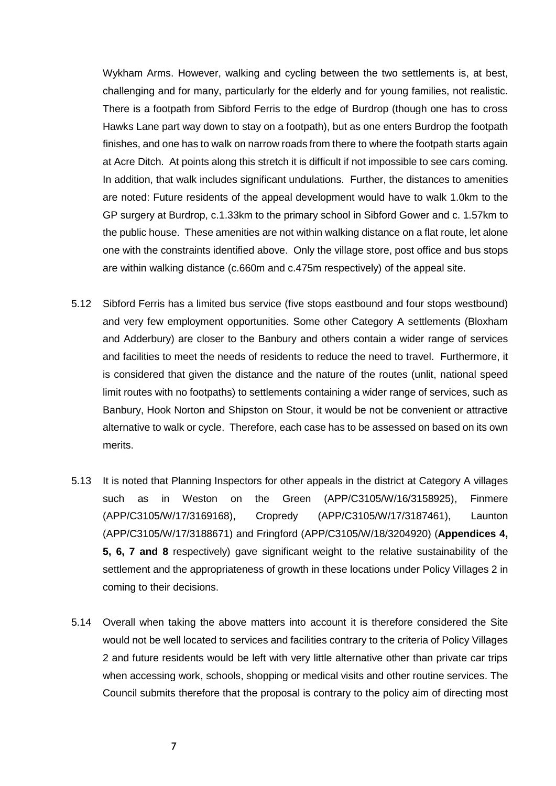Wykham Arms. However, walking and cycling between the two settlements is, at best, challenging and for many, particularly for the elderly and for young families, not realistic. There is a footpath from Sibford Ferris to the edge of Burdrop (though one has to cross Hawks Lane part way down to stay on a footpath), but as one enters Burdrop the footpath finishes, and one has to walk on narrow roads from there to where the footpath starts again at Acre Ditch. At points along this stretch it is difficult if not impossible to see cars coming. In addition, that walk includes significant undulations. Further, the distances to amenities are noted: Future residents of the appeal development would have to walk 1.0km to the GP surgery at Burdrop, c.1.33km to the primary school in Sibford Gower and c. 1.57km to the public house. These amenities are not within walking distance on a flat route, let alone one with the constraints identified above. Only the village store, post office and bus stops are within walking distance (c.660m and c.475m respectively) of the appeal site.

- 5.12 Sibford Ferris has a limited bus service (five stops eastbound and four stops westbound) and very few employment opportunities. Some other Category A settlements (Bloxham and Adderbury) are closer to the Banbury and others contain a wider range of services and facilities to meet the needs of residents to reduce the need to travel. Furthermore, it is considered that given the distance and the nature of the routes (unlit, national speed limit routes with no footpaths) to settlements containing a wider range of services, such as Banbury, Hook Norton and Shipston on Stour, it would be not be convenient or attractive alternative to walk or cycle. Therefore, each case has to be assessed on based on its own merits.
- 5.13 It is noted that Planning Inspectors for other appeals in the district at Category A villages such as in Weston on the Green (APP/C3105/W/16/3158925), Finmere (APP/C3105/W/17/3169168), Cropredy (APP/C3105/W/17/3187461), Launton (APP/C3105/W/17/3188671) and Fringford (APP/C3105/W/18/3204920) (**Appendices 4, 5, 6, 7 and 8** respectively) gave significant weight to the relative sustainability of the settlement and the appropriateness of growth in these locations under Policy Villages 2 in coming to their decisions.
- 5.14 Overall when taking the above matters into account it is therefore considered the Site would not be well located to services and facilities contrary to the criteria of Policy Villages 2 and future residents would be left with very little alternative other than private car trips when accessing work, schools, shopping or medical visits and other routine services. The Council submits therefore that the proposal is contrary to the policy aim of directing most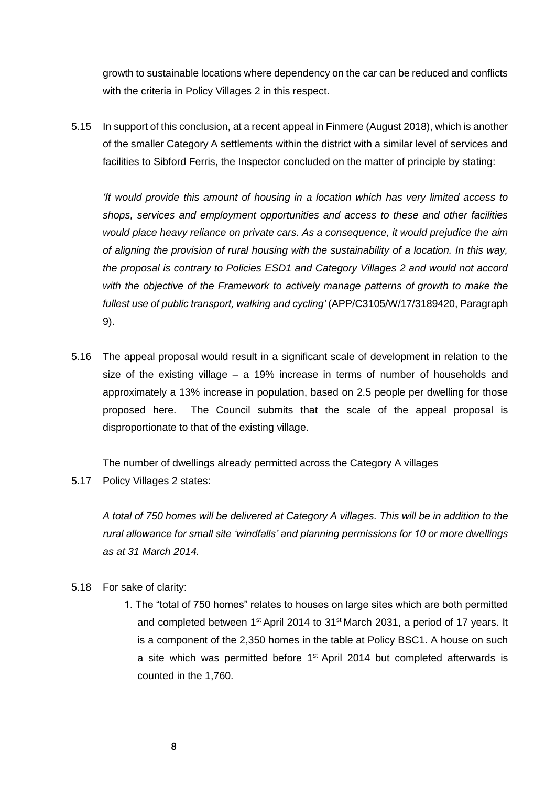growth to sustainable locations where dependency on the car can be reduced and conflicts with the criteria in Policy Villages 2 in this respect.

5.15 In support of this conclusion, at a recent appeal in Finmere (August 2018), which is another of the smaller Category A settlements within the district with a similar level of services and facilities to Sibford Ferris, the Inspector concluded on the matter of principle by stating:

*'It would provide this amount of housing in a location which has very limited access to shops, services and employment opportunities and access to these and other facilities would place heavy reliance on private cars. As a consequence, it would prejudice the aim of aligning the provision of rural housing with the sustainability of a location. In this way, the proposal is contrary to Policies ESD1 and Category Villages 2 and would not accord with the objective of the Framework to actively manage patterns of growth to make the fullest use of public transport, walking and cycling'* (APP/C3105/W/17/3189420, Paragraph 9).

5.16 The appeal proposal would result in a significant scale of development in relation to the size of the existing village – a 19% increase in terms of number of households and approximately a 13% increase in population, based on 2.5 people per dwelling for those proposed here. The Council submits that the scale of the appeal proposal is disproportionate to that of the existing village.

### The number of dwellings already permitted across the Category A villages

5.17 Policy Villages 2 states:

*A total of 750 homes will be delivered at Category A villages. This will be in addition to the rural allowance for small site 'windfalls' and planning permissions for 10 or more dwellings as at 31 March 2014.*

- 5.18 For sake of clarity:
	- 1. The "total of 750 homes" relates to houses on large sites which are both permitted and completed between 1<sup>st</sup> April 2014 to 31<sup>st</sup> March 2031, a period of 17 years. It is a component of the 2,350 homes in the table at Policy BSC1. A house on such a site which was permitted before 1<sup>st</sup> April 2014 but completed afterwards is counted in the 1,760.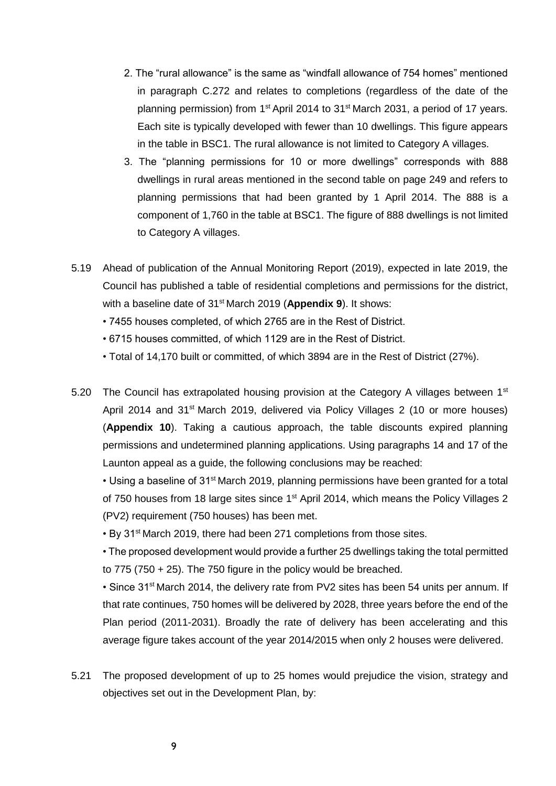- 2. The "rural allowance" is the same as "windfall allowance of 754 homes" mentioned in paragraph C.272 and relates to completions (regardless of the date of the planning permission) from 1<sup>st</sup> April 2014 to 31<sup>st</sup> March 2031, a period of 17 years. Each site is typically developed with fewer than 10 dwellings. This figure appears in the table in BSC1. The rural allowance is not limited to Category A villages.
- 3. The "planning permissions for 10 or more dwellings" corresponds with 888 dwellings in rural areas mentioned in the second table on page 249 and refers to planning permissions that had been granted by 1 April 2014. The 888 is a component of 1,760 in the table at BSC1. The figure of 888 dwellings is not limited to Category A villages.
- 5.19 Ahead of publication of the Annual Monitoring Report (2019), expected in late 2019, the Council has published a table of residential completions and permissions for the district, with a baseline date of 31st March 2019 (**Appendix 9**). It shows:
	- 7455 houses completed, of which 2765 are in the Rest of District.
	- 6715 houses committed, of which 1129 are in the Rest of District.
	- Total of 14,170 built or committed, of which 3894 are in the Rest of District (27%).
- 5.20 The Council has extrapolated housing provision at the Category A villages between 1<sup>st</sup> April 2014 and 31<sup>st</sup> March 2019, delivered via Policy Villages 2 (10 or more houses) (**Appendix 10**). Taking a cautious approach, the table discounts expired planning permissions and undetermined planning applications. Using paragraphs 14 and 17 of the Launton appeal as a guide, the following conclusions may be reached:

• Using a baseline of 31<sup>st</sup> March 2019, planning permissions have been granted for a total of 750 houses from 18 large sites since 1<sup>st</sup> April 2014, which means the Policy Villages 2 (PV2) requirement (750 houses) has been met.

• By 31<sup>st</sup> March 2019, there had been 271 completions from those sites.

• The proposed development would provide a further 25 dwellings taking the total permitted to 775 (750 + 25). The 750 figure in the policy would be breached.

• Since 31<sup>st</sup> March 2014, the delivery rate from PV2 sites has been 54 units per annum. If that rate continues, 750 homes will be delivered by 2028, three years before the end of the Plan period (2011-2031). Broadly the rate of delivery has been accelerating and this average figure takes account of the year 2014/2015 when only 2 houses were delivered.

5.21 The proposed development of up to 25 homes would prejudice the vision, strategy and objectives set out in the Development Plan, by: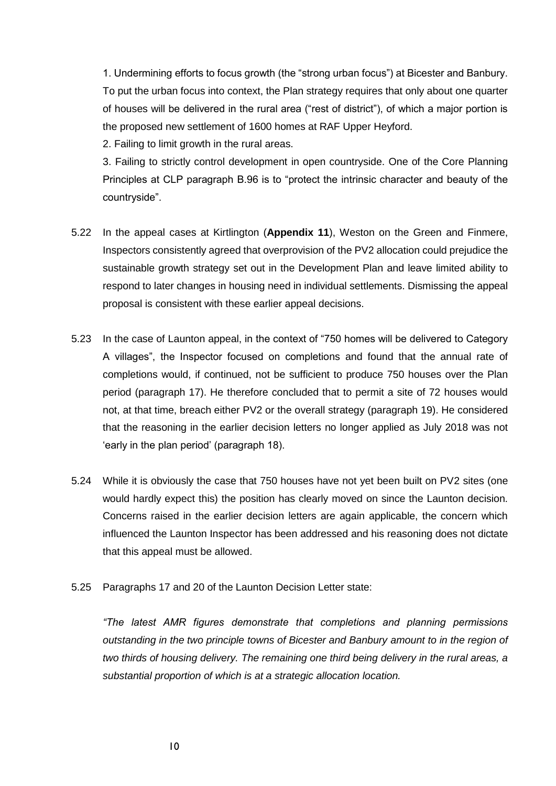1. Undermining efforts to focus growth (the "strong urban focus") at Bicester and Banbury. To put the urban focus into context, the Plan strategy requires that only about one quarter of houses will be delivered in the rural area ("rest of district"), of which a major portion is the proposed new settlement of 1600 homes at RAF Upper Heyford.

2. Failing to limit growth in the rural areas.

3. Failing to strictly control development in open countryside. One of the Core Planning Principles at CLP paragraph B.96 is to "protect the intrinsic character and beauty of the countryside".

- 5.22 In the appeal cases at Kirtlington (**Appendix 11**), Weston on the Green and Finmere, Inspectors consistently agreed that overprovision of the PV2 allocation could prejudice the sustainable growth strategy set out in the Development Plan and leave limited ability to respond to later changes in housing need in individual settlements. Dismissing the appeal proposal is consistent with these earlier appeal decisions.
- 5.23 In the case of Launton appeal, in the context of "750 homes will be delivered to Category A villages", the Inspector focused on completions and found that the annual rate of completions would, if continued, not be sufficient to produce 750 houses over the Plan period (paragraph 17). He therefore concluded that to permit a site of 72 houses would not, at that time, breach either PV2 or the overall strategy (paragraph 19). He considered that the reasoning in the earlier decision letters no longer applied as July 2018 was not 'early in the plan period' (paragraph 18).
- 5.24 While it is obviously the case that 750 houses have not yet been built on PV2 sites (one would hardly expect this) the position has clearly moved on since the Launton decision. Concerns raised in the earlier decision letters are again applicable, the concern which influenced the Launton Inspector has been addressed and his reasoning does not dictate that this appeal must be allowed.
- 5.25 Paragraphs 17 and 20 of the Launton Decision Letter state:

*"The latest AMR figures demonstrate that completions and planning permissions outstanding in the two principle towns of Bicester and Banbury amount to in the region of two thirds of housing delivery. The remaining one third being delivery in the rural areas, a substantial proportion of which is at a strategic allocation location.*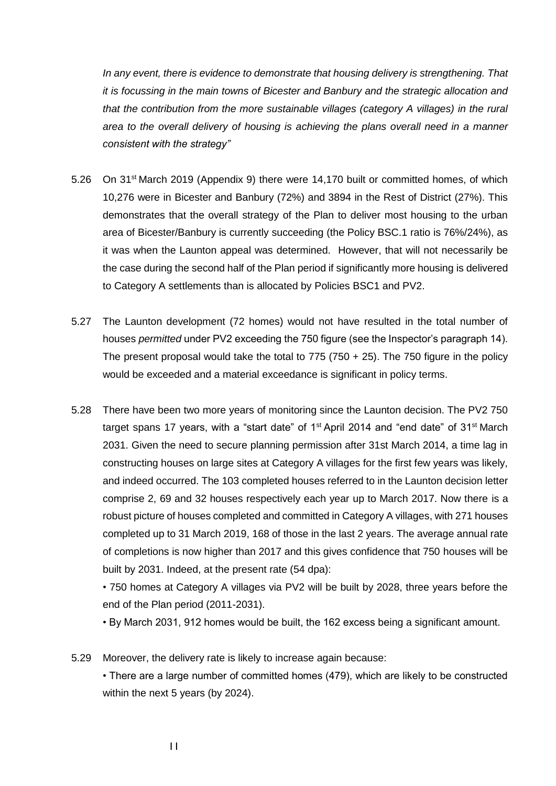*In any event, there is evidence to demonstrate that housing delivery is strengthening. That it is focussing in the main towns of Bicester and Banbury and the strategic allocation and that the contribution from the more sustainable villages (category A villages) in the rural area to the overall delivery of housing is achieving the plans overall need in a manner consistent with the strategy"* 

- 5.26 On 31<sup>st</sup> March 2019 (Appendix 9) there were 14,170 built or committed homes, of which 10,276 were in Bicester and Banbury (72%) and 3894 in the Rest of District (27%). This demonstrates that the overall strategy of the Plan to deliver most housing to the urban area of Bicester/Banbury is currently succeeding (the Policy BSC.1 ratio is 76%/24%), as it was when the Launton appeal was determined. However, that will not necessarily be the case during the second half of the Plan period if significantly more housing is delivered to Category A settlements than is allocated by Policies BSC1 and PV2.
- 5.27 The Launton development (72 homes) would not have resulted in the total number of houses *permitted* under PV2 exceeding the 750 figure (see the Inspector's paragraph 14). The present proposal would take the total to  $775$  ( $750 + 25$ ). The 750 figure in the policy would be exceeded and a material exceedance is significant in policy terms.
- 5.28 There have been two more years of monitoring since the Launton decision. The PV2 750 target spans 17 years, with a "start date" of 1<sup>st</sup> April 2014 and "end date" of 31<sup>st</sup> March 2031. Given the need to secure planning permission after 31st March 2014, a time lag in constructing houses on large sites at Category A villages for the first few years was likely, and indeed occurred. The 103 completed houses referred to in the Launton decision letter comprise 2, 69 and 32 houses respectively each year up to March 2017. Now there is a robust picture of houses completed and committed in Category A villages, with 271 houses completed up to 31 March 2019, 168 of those in the last 2 years. The average annual rate of completions is now higher than 2017 and this gives confidence that 750 houses will be built by 2031. Indeed, at the present rate (54 dpa):

• 750 homes at Category A villages via PV2 will be built by 2028, three years before the end of the Plan period (2011-2031).

• By March 2031, 912 homes would be built, the 162 excess being a significant amount.

5.29 Moreover, the delivery rate is likely to increase again because: • There are a large number of committed homes (479), which are likely to be constructed within the next 5 years (by 2024).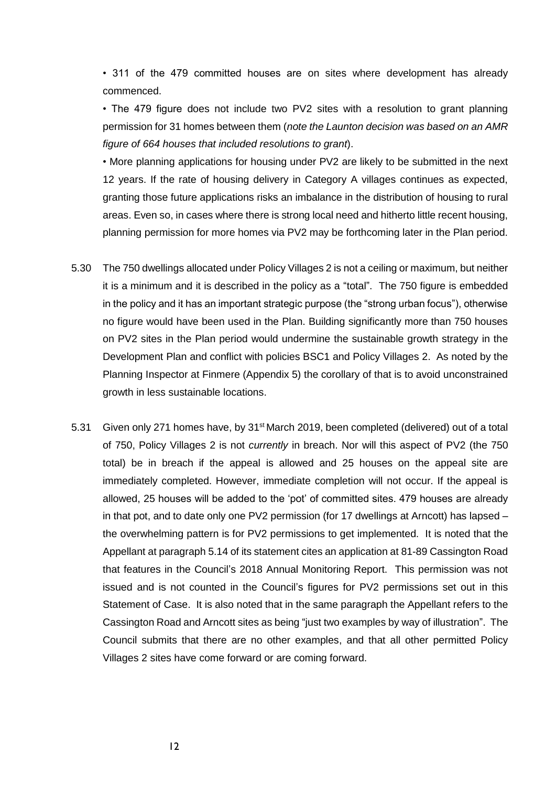• 311 of the 479 committed houses are on sites where development has already commenced.

• The 479 figure does not include two PV2 sites with a resolution to grant planning permission for 31 homes between them (*note the Launton decision was based on an AMR figure of 664 houses that included resolutions to grant*).

• More planning applications for housing under PV2 are likely to be submitted in the next 12 years. If the rate of housing delivery in Category A villages continues as expected, granting those future applications risks an imbalance in the distribution of housing to rural areas. Even so, in cases where there is strong local need and hitherto little recent housing, planning permission for more homes via PV2 may be forthcoming later in the Plan period.

- 5.30 The 750 dwellings allocated under Policy Villages 2 is not a ceiling or maximum, but neither it is a minimum and it is described in the policy as a "total". The 750 figure is embedded in the policy and it has an important strategic purpose (the "strong urban focus"), otherwise no figure would have been used in the Plan. Building significantly more than 750 houses on PV2 sites in the Plan period would undermine the sustainable growth strategy in the Development Plan and conflict with policies BSC1 and Policy Villages 2. As noted by the Planning Inspector at Finmere (Appendix 5) the corollary of that is to avoid unconstrained growth in less sustainable locations.
- 5.31 Given only 271 homes have, by  $31<sup>st</sup>$  March 2019, been completed (delivered) out of a total of 750, Policy Villages 2 is not *currently* in breach. Nor will this aspect of PV2 (the 750 total) be in breach if the appeal is allowed and 25 houses on the appeal site are immediately completed. However, immediate completion will not occur. If the appeal is allowed, 25 houses will be added to the 'pot' of committed sites. 479 houses are already in that pot, and to date only one PV2 permission (for 17 dwellings at Arncott) has lapsed – the overwhelming pattern is for PV2 permissions to get implemented. It is noted that the Appellant at paragraph 5.14 of its statement cites an application at 81-89 Cassington Road that features in the Council's 2018 Annual Monitoring Report. This permission was not issued and is not counted in the Council's figures for PV2 permissions set out in this Statement of Case. It is also noted that in the same paragraph the Appellant refers to the Cassington Road and Arncott sites as being "just two examples by way of illustration". The Council submits that there are no other examples, and that all other permitted Policy Villages 2 sites have come forward or are coming forward.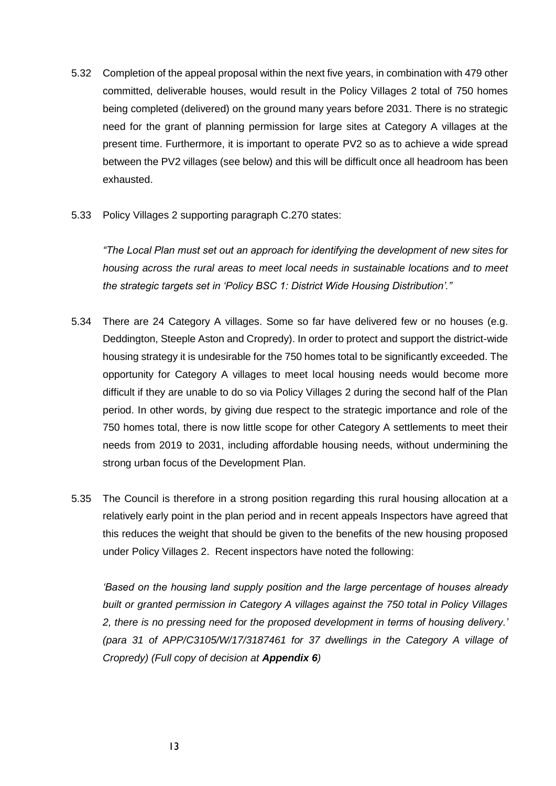- 5.32 Completion of the appeal proposal within the next five years, in combination with 479 other committed, deliverable houses, would result in the Policy Villages 2 total of 750 homes being completed (delivered) on the ground many years before 2031. There is no strategic need for the grant of planning permission for large sites at Category A villages at the present time. Furthermore, it is important to operate PV2 so as to achieve a wide spread between the PV2 villages (see below) and this will be difficult once all headroom has been exhausted.
- 5.33 Policy Villages 2 supporting paragraph C.270 states:

*"The Local Plan must set out an approach for identifying the development of new sites for housing across the rural areas to meet local needs in sustainable locations and to meet the strategic targets set in 'Policy BSC 1: District Wide Housing Distribution'."* 

- 5.34 There are 24 Category A villages. Some so far have delivered few or no houses (e.g. Deddington, Steeple Aston and Cropredy). In order to protect and support the district-wide housing strategy it is undesirable for the 750 homes total to be significantly exceeded. The opportunity for Category A villages to meet local housing needs would become more difficult if they are unable to do so via Policy Villages 2 during the second half of the Plan period. In other words, by giving due respect to the strategic importance and role of the 750 homes total, there is now little scope for other Category A settlements to meet their needs from 2019 to 2031, including affordable housing needs, without undermining the strong urban focus of the Development Plan.
- 5.35 The Council is therefore in a strong position regarding this rural housing allocation at a relatively early point in the plan period and in recent appeals Inspectors have agreed that this reduces the weight that should be given to the benefits of the new housing proposed under Policy Villages 2. Recent inspectors have noted the following:

*'Based on the housing land supply position and the large percentage of houses already built or granted permission in Category A villages against the 750 total in Policy Villages 2, there is no pressing need for the proposed development in terms of housing delivery.' (para 31 of APP/C3105/W/17/3187461 for 37 dwellings in the Category A village of Cropredy) (Full copy of decision at Appendix 6)*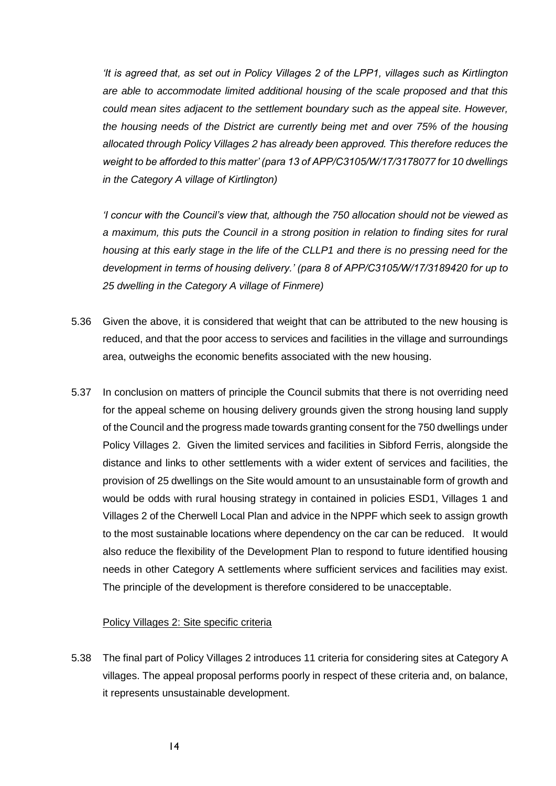*'It is agreed that, as set out in Policy Villages 2 of the LPP1, villages such as Kirtlington are able to accommodate limited additional housing of the scale proposed and that this could mean sites adjacent to the settlement boundary such as the appeal site. However, the housing needs of the District are currently being met and over 75% of the housing allocated through Policy Villages 2 has already been approved. This therefore reduces the weight to be afforded to this matter' (para 13 of APP/C3105/W/17/3178077 for 10 dwellings in the Category A village of Kirtlington)*

*'I concur with the Council's view that, although the 750 allocation should not be viewed as a maximum, this puts the Council in a strong position in relation to finding sites for rural housing at this early stage in the life of the CLLP1 and there is no pressing need for the development in terms of housing delivery.' (para 8 of APP/C3105/W/17/3189420 for up to 25 dwelling in the Category A village of Finmere)*

- 5.36 Given the above, it is considered that weight that can be attributed to the new housing is reduced, and that the poor access to services and facilities in the village and surroundings area, outweighs the economic benefits associated with the new housing.
- 5.37 In conclusion on matters of principle the Council submits that there is not overriding need for the appeal scheme on housing delivery grounds given the strong housing land supply of the Council and the progress made towards granting consent for the 750 dwellings under Policy Villages 2. Given the limited services and facilities in Sibford Ferris, alongside the distance and links to other settlements with a wider extent of services and facilities, the provision of 25 dwellings on the Site would amount to an unsustainable form of growth and would be odds with rural housing strategy in contained in policies ESD1, Villages 1 and Villages 2 of the Cherwell Local Plan and advice in the NPPF which seek to assign growth to the most sustainable locations where dependency on the car can be reduced. It would also reduce the flexibility of the Development Plan to respond to future identified housing needs in other Category A settlements where sufficient services and facilities may exist. The principle of the development is therefore considered to be unacceptable.

### Policy Villages 2: Site specific criteria

5.38 The final part of Policy Villages 2 introduces 11 criteria for considering sites at Category A villages. The appeal proposal performs poorly in respect of these criteria and, on balance, it represents unsustainable development.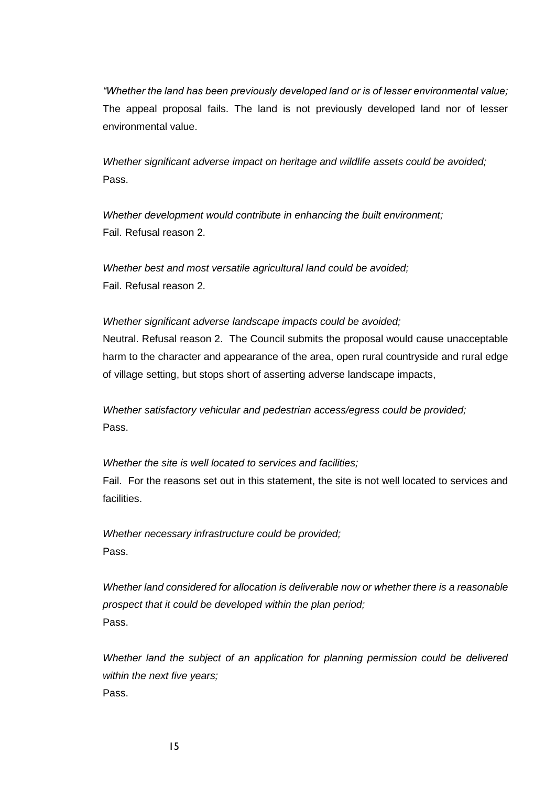*"Whether the land has been previously developed land or is of lesser environmental value;*  The appeal proposal fails. The land is not previously developed land nor of lesser environmental value.

*Whether significant adverse impact on heritage and wildlife assets could be avoided;*  Pass.

*Whether development would contribute in enhancing the built environment;*  Fail. Refusal reason 2.

*Whether best and most versatile agricultural land could be avoided;*  Fail. Refusal reason 2.

*Whether significant adverse landscape impacts could be avoided;* 

Neutral. Refusal reason 2. The Council submits the proposal would cause unacceptable harm to the character and appearance of the area, open rural countryside and rural edge of village setting, but stops short of asserting adverse landscape impacts,

*Whether satisfactory vehicular and pedestrian access/egress could be provided;*  Pass.

*Whether the site is well located to services and facilities;* 

Fail. For the reasons set out in this statement, the site is not well located to services and facilities.

*Whether necessary infrastructure could be provided;*  Pass.

*Whether land considered for allocation is deliverable now or whether there is a reasonable prospect that it could be developed within the plan period;*  Pass.

*Whether land the subject of an application for planning permission could be delivered within the next five years;*  Pass.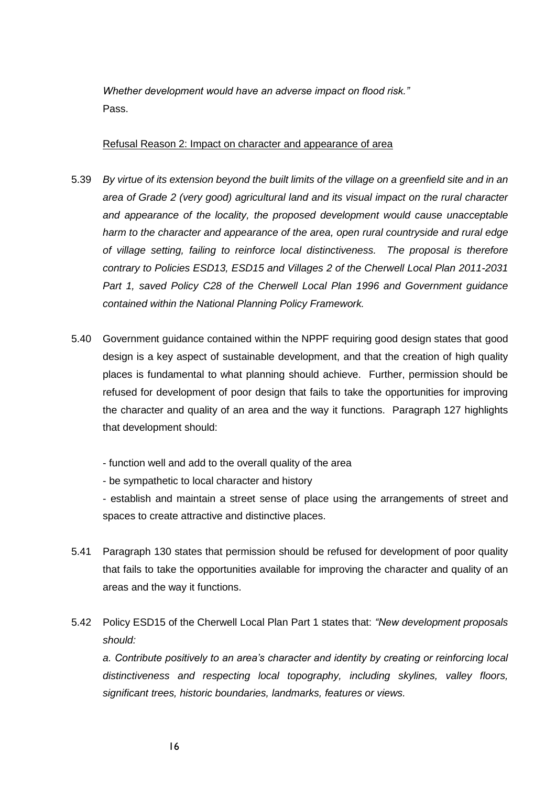*Whether development would have an adverse impact on flood risk."*  Pass.

### Refusal Reason 2: Impact on character and appearance of area

- 5.39 *By virtue of its extension beyond the built limits of the village on a greenfield site and in an area of Grade 2 (very good) agricultural land and its visual impact on the rural character and appearance of the locality, the proposed development would cause unacceptable harm to the character and appearance of the area, open rural countryside and rural edge of village setting, failing to reinforce local distinctiveness. The proposal is therefore contrary to Policies ESD13, ESD15 and Villages 2 of the Cherwell Local Plan 2011-2031 Part 1, saved Policy C28 of the Cherwell Local Plan 1996 and Government guidance contained within the National Planning Policy Framework.*
- 5.40 Government guidance contained within the NPPF requiring good design states that good design is a key aspect of sustainable development, and that the creation of high quality places is fundamental to what planning should achieve. Further, permission should be refused for development of poor design that fails to take the opportunities for improving the character and quality of an area and the way it functions. Paragraph 127 highlights that development should:
	- function well and add to the overall quality of the area
	- be sympathetic to local character and history

- establish and maintain a street sense of place using the arrangements of street and spaces to create attractive and distinctive places.

- 5.41 Paragraph 130 states that permission should be refused for development of poor quality that fails to take the opportunities available for improving the character and quality of an areas and the way it functions.
- 5.42 Policy ESD15 of the Cherwell Local Plan Part 1 states that: *"New development proposals should:*

*a. Contribute positively to an area's character and identity by creating or reinforcing local distinctiveness and respecting local topography, including skylines, valley floors, significant trees, historic boundaries, landmarks, features or views.*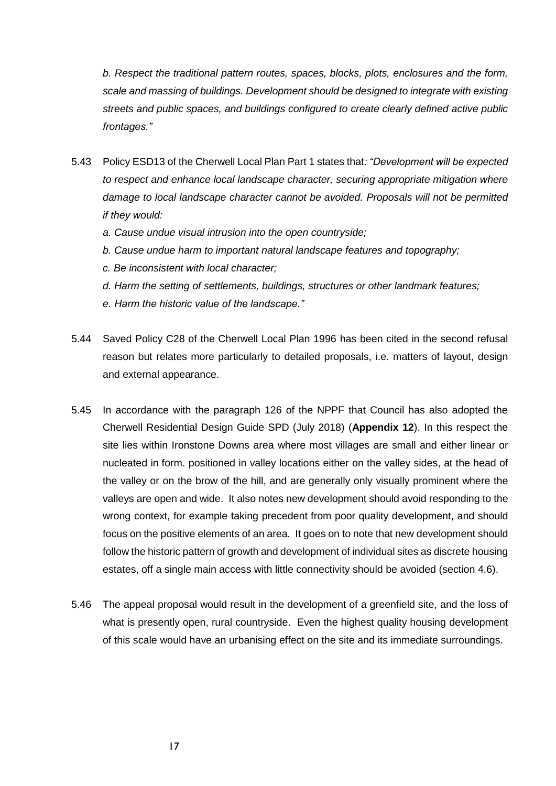*b. Respect the traditional pattern routes, spaces, blocks, plots, enclosures and the form, scale and massing of buildings. Development should be designed to integrate with existing streets and public spaces, and buildings configured to create clearly defined active public frontages."*

- 5.43 Policy ESD13 of the Cherwell Local Plan Part 1 states that*: "Development will be expected to respect and enhance local landscape character, securing appropriate mitigation where damage to local landscape character cannot be avoided. Proposals will not be permitted if they would:*
	- *a. Cause undue visual intrusion into the open countryside;*
	- *b. Cause undue harm to important natural landscape features and topography;*
	- *c. Be inconsistent with local character;*
	- *d. Harm the setting of settlements, buildings, structures or other landmark features;*
	- *e. Harm the historic value of the landscape."*
- 5.44 Saved Policy C28 of the Cherwell Local Plan 1996 has been cited in the second refusal reason but relates more particularly to detailed proposals, i.e. matters of layout, design and external appearance.
- 5.45 In accordance with the paragraph 126 of the NPPF that Council has also adopted the Cherwell Residential Design Guide SPD (July 2018) (**Appendix 12**). In this respect the site lies within Ironstone Downs area where most villages are small and either linear or nucleated in form. positioned in valley locations either on the valley sides, at the head of the valley or on the brow of the hill, and are generally only visually prominent where the valleys are open and wide. It also notes new development should avoid responding to the wrong context, for example taking precedent from poor quality development, and should focus on the positive elements of an area. It goes on to note that new development should follow the historic pattern of growth and development of individual sites as discrete housing estates, off a single main access with little connectivity should be avoided (section 4.6).
- 5.46 The appeal proposal would result in the development of a greenfield site, and the loss of what is presently open, rural countryside. Even the highest quality housing development of this scale would have an urbanising effect on the site and its immediate surroundings.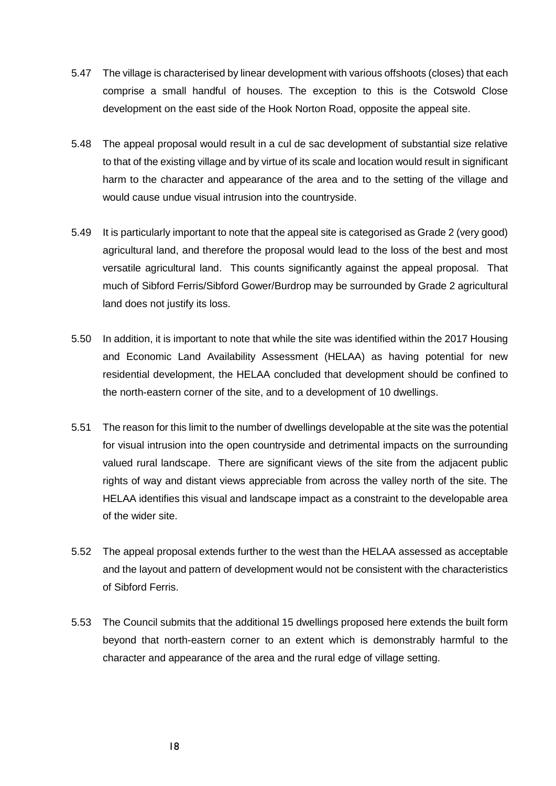- 5.47 The village is characterised by linear development with various offshoots (closes) that each comprise a small handful of houses. The exception to this is the Cotswold Close development on the east side of the Hook Norton Road, opposite the appeal site.
- 5.48 The appeal proposal would result in a cul de sac development of substantial size relative to that of the existing village and by virtue of its scale and location would result in significant harm to the character and appearance of the area and to the setting of the village and would cause undue visual intrusion into the countryside.
- 5.49 It is particularly important to note that the appeal site is categorised as Grade 2 (very good) agricultural land, and therefore the proposal would lead to the loss of the best and most versatile agricultural land. This counts significantly against the appeal proposal. That much of Sibford Ferris/Sibford Gower/Burdrop may be surrounded by Grade 2 agricultural land does not justify its loss.
- 5.50 In addition, it is important to note that while the site was identified within the 2017 Housing and Economic Land Availability Assessment (HELAA) as having potential for new residential development, the HELAA concluded that development should be confined to the north-eastern corner of the site, and to a development of 10 dwellings.
- 5.51 The reason for this limit to the number of dwellings developable at the site was the potential for visual intrusion into the open countryside and detrimental impacts on the surrounding valued rural landscape. There are significant views of the site from the adjacent public rights of way and distant views appreciable from across the valley north of the site. The HELAA identifies this visual and landscape impact as a constraint to the developable area of the wider site.
- 5.52 The appeal proposal extends further to the west than the HELAA assessed as acceptable and the layout and pattern of development would not be consistent with the characteristics of Sibford Ferris.
- 5.53 The Council submits that the additional 15 dwellings proposed here extends the built form beyond that north-eastern corner to an extent which is demonstrably harmful to the character and appearance of the area and the rural edge of village setting.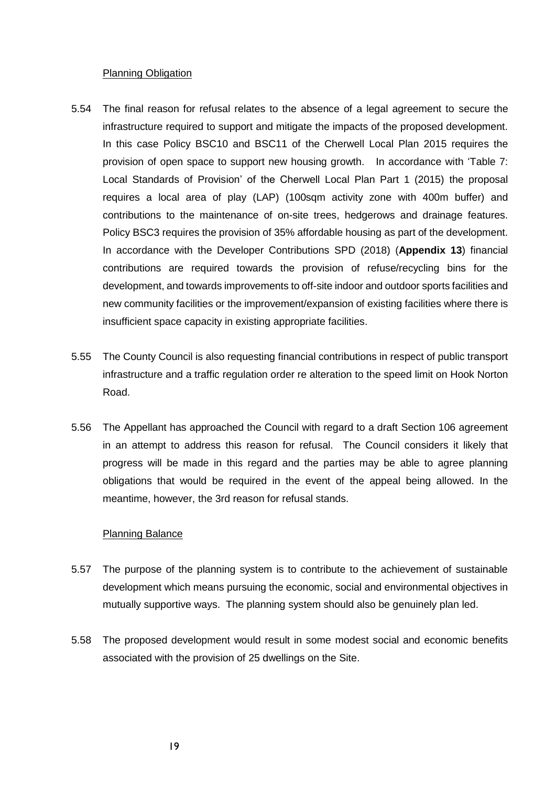### Planning Obligation

- 5.54 The final reason for refusal relates to the absence of a legal agreement to secure the infrastructure required to support and mitigate the impacts of the proposed development. In this case Policy BSC10 and BSC11 of the Cherwell Local Plan 2015 requires the provision of open space to support new housing growth. In accordance with 'Table 7: Local Standards of Provision' of the Cherwell Local Plan Part 1 (2015) the proposal requires a local area of play (LAP) (100sqm activity zone with 400m buffer) and contributions to the maintenance of on-site trees, hedgerows and drainage features. Policy BSC3 requires the provision of 35% affordable housing as part of the development. In accordance with the Developer Contributions SPD (2018) (**Appendix 13**) financial contributions are required towards the provision of refuse/recycling bins for the development, and towards improvements to off-site indoor and outdoor sports facilities and new community facilities or the improvement/expansion of existing facilities where there is insufficient space capacity in existing appropriate facilities.
- 5.55 The County Council is also requesting financial contributions in respect of public transport infrastructure and a traffic regulation order re alteration to the speed limit on Hook Norton Road.
- 5.56 The Appellant has approached the Council with regard to a draft Section 106 agreement in an attempt to address this reason for refusal. The Council considers it likely that progress will be made in this regard and the parties may be able to agree planning obligations that would be required in the event of the appeal being allowed. In the meantime, however, the 3rd reason for refusal stands.

### Planning Balance

- 5.57 The purpose of the planning system is to contribute to the achievement of sustainable development which means pursuing the economic, social and environmental objectives in mutually supportive ways. The planning system should also be genuinely plan led.
- 5.58 The proposed development would result in some modest social and economic benefits associated with the provision of 25 dwellings on the Site.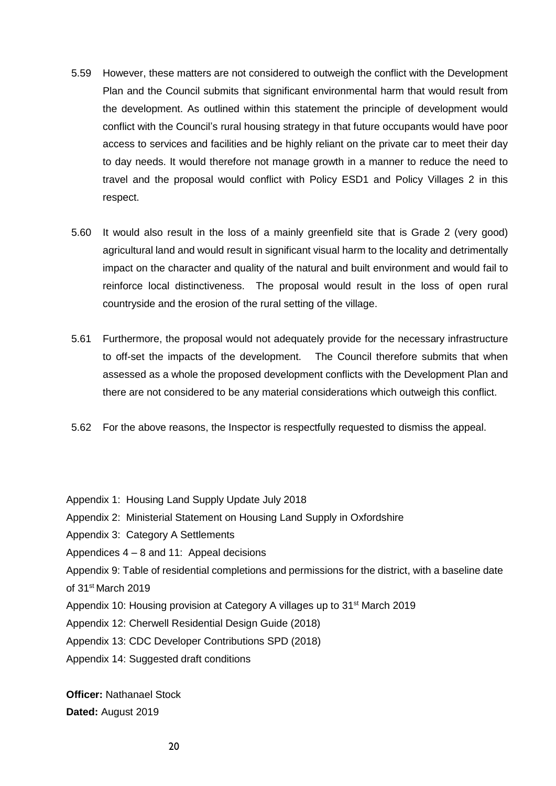- 5.59 However, these matters are not considered to outweigh the conflict with the Development Plan and the Council submits that significant environmental harm that would result from the development. As outlined within this statement the principle of development would conflict with the Council's rural housing strategy in that future occupants would have poor access to services and facilities and be highly reliant on the private car to meet their day to day needs. It would therefore not manage growth in a manner to reduce the need to travel and the proposal would conflict with Policy ESD1 and Policy Villages 2 in this respect.
- 5.60 It would also result in the loss of a mainly greenfield site that is Grade 2 (very good) agricultural land and would result in significant visual harm to the locality and detrimentally impact on the character and quality of the natural and built environment and would fail to reinforce local distinctiveness. The proposal would result in the loss of open rural countryside and the erosion of the rural setting of the village.
- 5.61 Furthermore, the proposal would not adequately provide for the necessary infrastructure to off-set the impacts of the development. The Council therefore submits that when assessed as a whole the proposed development conflicts with the Development Plan and there are not considered to be any material considerations which outweigh this conflict.
- 5.62 For the above reasons, the Inspector is respectfully requested to dismiss the appeal.
- Appendix 1: Housing Land Supply Update July 2018
- Appendix 2: Ministerial Statement on Housing Land Supply in Oxfordshire
- Appendix 3: Category A Settlements
- Appendices 4 8 and 11: Appeal decisions

Appendix 9: Table of residential completions and permissions for the district, with a baseline date of 31st March 2019

- Appendix 10: Housing provision at Category A villages up to 31<sup>st</sup> March 2019
- Appendix 12: Cherwell Residential Design Guide (2018)
- Appendix 13: CDC Developer Contributions SPD (2018)
- Appendix 14: Suggested draft conditions

**Officer:** Nathanael Stock **Dated:** August 2019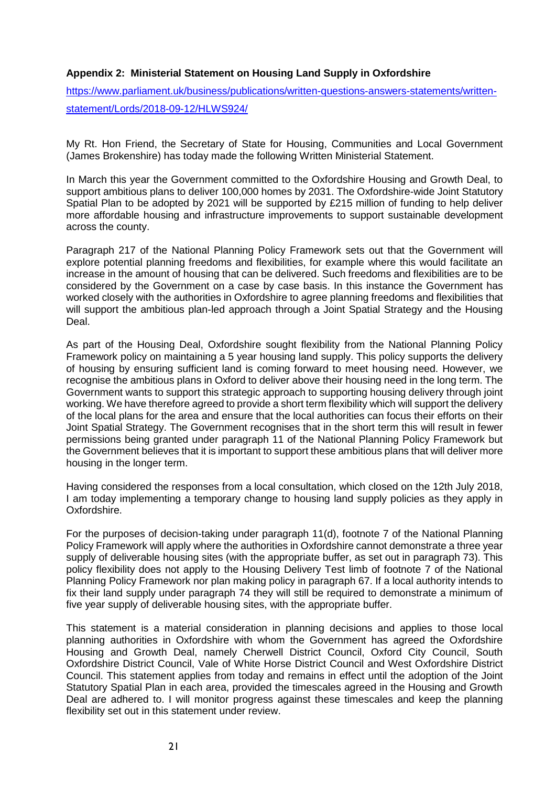### **Appendix 2: Ministerial Statement on Housing Land Supply in Oxfordshire**

[https://www.parliament.uk/business/publications/written-questions-answers-statements/written](https://www.parliament.uk/business/publications/written-questions-answers-statements/written-statement/Lords/2018-09-12/HLWS924/)[statement/Lords/2018-09-12/HLWS924/](https://www.parliament.uk/business/publications/written-questions-answers-statements/written-statement/Lords/2018-09-12/HLWS924/)

My Rt. Hon Friend, the Secretary of State for Housing, Communities and Local Government (James Brokenshire) has today made the following Written Ministerial Statement.

In March this year the Government committed to the Oxfordshire Housing and Growth Deal, to support ambitious plans to deliver 100,000 homes by 2031. The Oxfordshire-wide Joint Statutory Spatial Plan to be adopted by 2021 will be supported by £215 million of funding to help deliver more affordable housing and infrastructure improvements to support sustainable development across the county.

Paragraph 217 of the National Planning Policy Framework sets out that the Government will explore potential planning freedoms and flexibilities, for example where this would facilitate an increase in the amount of housing that can be delivered. Such freedoms and flexibilities are to be considered by the Government on a case by case basis. In this instance the Government has worked closely with the authorities in Oxfordshire to agree planning freedoms and flexibilities that will support the ambitious plan-led approach through a Joint Spatial Strategy and the Housing Deal.

As part of the Housing Deal, Oxfordshire sought flexibility from the National Planning Policy Framework policy on maintaining a 5 year housing land supply. This policy supports the delivery of housing by ensuring sufficient land is coming forward to meet housing need. However, we recognise the ambitious plans in Oxford to deliver above their housing need in the long term. The Government wants to support this strategic approach to supporting housing delivery through joint working. We have therefore agreed to provide a short term flexibility which will support the delivery of the local plans for the area and ensure that the local authorities can focus their efforts on their Joint Spatial Strategy. The Government recognises that in the short term this will result in fewer permissions being granted under paragraph 11 of the National Planning Policy Framework but the Government believes that it is important to support these ambitious plans that will deliver more housing in the longer term.

Having considered the responses from a local consultation, which closed on the 12th July 2018, I am today implementing a temporary change to housing land supply policies as they apply in Oxfordshire.

For the purposes of decision-taking under paragraph 11(d), footnote 7 of the National Planning Policy Framework will apply where the authorities in Oxfordshire cannot demonstrate a three year supply of deliverable housing sites (with the appropriate buffer, as set out in paragraph 73). This policy flexibility does not apply to the Housing Delivery Test limb of footnote 7 of the National Planning Policy Framework nor plan making policy in paragraph 67. If a local authority intends to fix their land supply under paragraph 74 they will still be required to demonstrate a minimum of five year supply of deliverable housing sites, with the appropriate buffer.

This statement is a material consideration in planning decisions and applies to those local planning authorities in Oxfordshire with whom the Government has agreed the Oxfordshire Housing and Growth Deal, namely Cherwell District Council, Oxford City Council, South Oxfordshire District Council, Vale of White Horse District Council and West Oxfordshire District Council. This statement applies from today and remains in effect until the adoption of the Joint Statutory Spatial Plan in each area, provided the timescales agreed in the Housing and Growth Deal are adhered to. I will monitor progress against these timescales and keep the planning flexibility set out in this statement under review.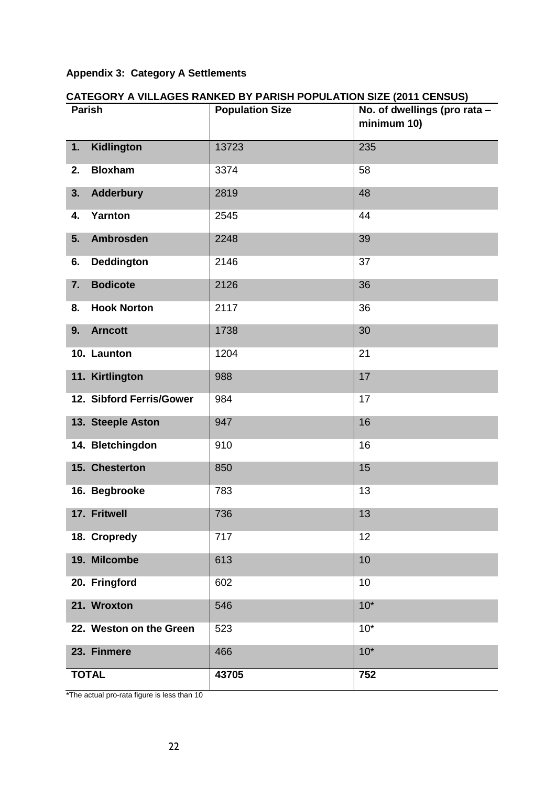# **Appendix 3: Category A Settlements**

| <b>Parish</b>            | <b>Population Size</b> | No. of dwellings (pro rata -<br>minimum 10) |
|--------------------------|------------------------|---------------------------------------------|
| Kidlington<br>1.         | 13723                  | 235                                         |
| <b>Bloxham</b><br>2.     | 3374                   | 58                                          |
| 3.<br><b>Adderbury</b>   | 2819                   | 48                                          |
| Yarnton<br>4.            | 2545                   | 44                                          |
| 5.<br><b>Ambrosden</b>   | 2248                   | 39                                          |
| <b>Deddington</b><br>6.  | 2146                   | 37                                          |
| <b>Bodicote</b><br>7.    | 2126                   | 36                                          |
| <b>Hook Norton</b><br>8. | 2117                   | 36                                          |
| 9.<br><b>Arncott</b>     | 1738                   | 30                                          |
| 10. Launton              | 1204                   | 21                                          |
| 11. Kirtlington          | 988                    | 17                                          |
| 12. Sibford Ferris/Gower | 984                    | 17                                          |
| 13. Steeple Aston        | 947                    | 16                                          |
| 14. Bletchingdon         | 910                    | 16                                          |
| 15. Chesterton           | 850                    | 15                                          |
| 16. Begbrooke            | 783                    | 13                                          |
| 17. Fritwell             | 736                    | 13                                          |
| 18. Cropredy             | 717                    | 12                                          |
| 19. Milcombe             | 613                    | 10                                          |
| 20. Fringford            | 602                    | 10                                          |
| 21. Wroxton              | 546                    | $10*$                                       |
| 22. Weston on the Green  | 523                    | $10*$                                       |
| 23. Finmere              | 466                    | $10*$                                       |
| <b>TOTAL</b>             | 43705                  | 752                                         |

# **CATEGORY A VILLAGES RANKED BY PARISH POPULATION SIZE (2011 CENSUS)**

\*The actual pro-rata figure is less than 10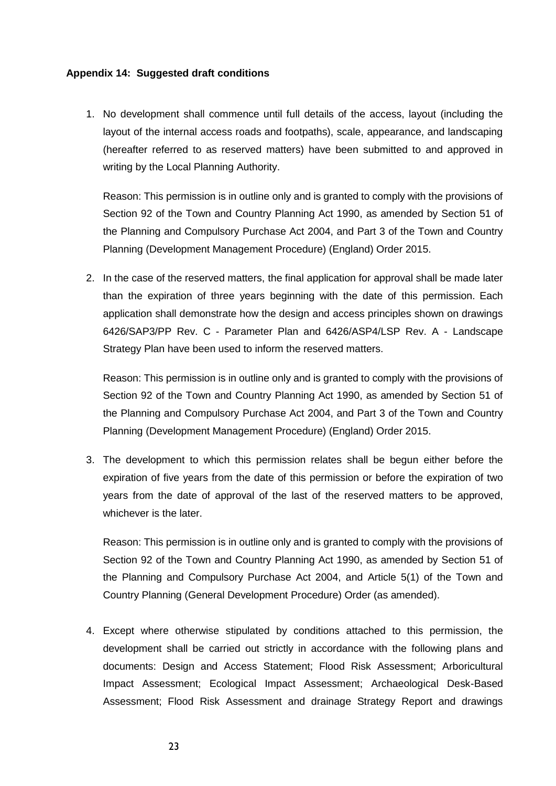### **Appendix 14: Suggested draft conditions**

1. No development shall commence until full details of the access, layout (including the layout of the internal access roads and footpaths), scale, appearance, and landscaping (hereafter referred to as reserved matters) have been submitted to and approved in writing by the Local Planning Authority.

Reason: This permission is in outline only and is granted to comply with the provisions of Section 92 of the Town and Country Planning Act 1990, as amended by Section 51 of the Planning and Compulsory Purchase Act 2004, and Part 3 of the Town and Country Planning (Development Management Procedure) (England) Order 2015.

2. In the case of the reserved matters, the final application for approval shall be made later than the expiration of three years beginning with the date of this permission. Each application shall demonstrate how the design and access principles shown on drawings 6426/SAP3/PP Rev. C - Parameter Plan and 6426/ASP4/LSP Rev. A - Landscape Strategy Plan have been used to inform the reserved matters.

Reason: This permission is in outline only and is granted to comply with the provisions of Section 92 of the Town and Country Planning Act 1990, as amended by Section 51 of the Planning and Compulsory Purchase Act 2004, and Part 3 of the Town and Country Planning (Development Management Procedure) (England) Order 2015.

3. The development to which this permission relates shall be begun either before the expiration of five years from the date of this permission or before the expiration of two years from the date of approval of the last of the reserved matters to be approved, whichever is the later.

Reason: This permission is in outline only and is granted to comply with the provisions of Section 92 of the Town and Country Planning Act 1990, as amended by Section 51 of the Planning and Compulsory Purchase Act 2004, and Article 5(1) of the Town and Country Planning (General Development Procedure) Order (as amended).

4. Except where otherwise stipulated by conditions attached to this permission, the development shall be carried out strictly in accordance with the following plans and documents: Design and Access Statement; Flood Risk Assessment; Arboricultural Impact Assessment; Ecological Impact Assessment; Archaeological Desk-Based Assessment; Flood Risk Assessment and drainage Strategy Report and drawings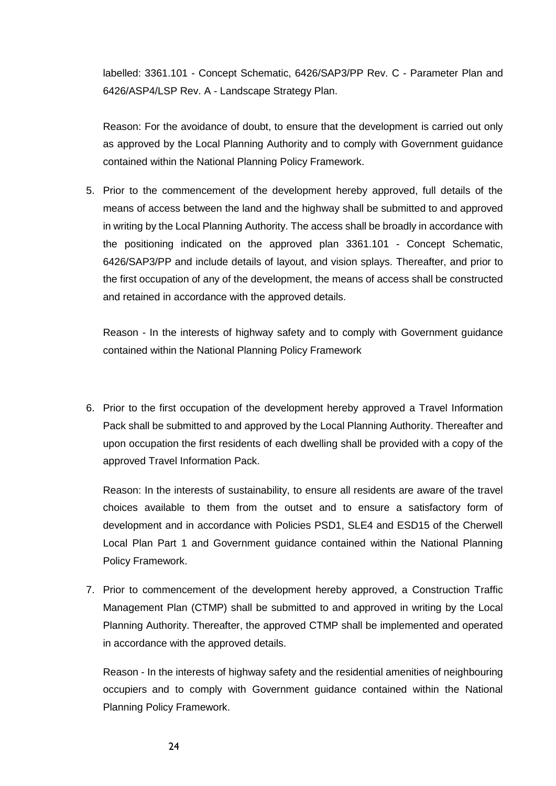labelled: 3361.101 - Concept Schematic, 6426/SAP3/PP Rev. C - Parameter Plan and 6426/ASP4/LSP Rev. A - Landscape Strategy Plan.

Reason: For the avoidance of doubt, to ensure that the development is carried out only as approved by the Local Planning Authority and to comply with Government guidance contained within the National Planning Policy Framework.

5. Prior to the commencement of the development hereby approved, full details of the means of access between the land and the highway shall be submitted to and approved in writing by the Local Planning Authority. The access shall be broadly in accordance with the positioning indicated on the approved plan 3361.101 - Concept Schematic, 6426/SAP3/PP and include details of layout, and vision splays. Thereafter, and prior to the first occupation of any of the development, the means of access shall be constructed and retained in accordance with the approved details.

Reason - In the interests of highway safety and to comply with Government guidance contained within the National Planning Policy Framework

6. Prior to the first occupation of the development hereby approved a Travel Information Pack shall be submitted to and approved by the Local Planning Authority. Thereafter and upon occupation the first residents of each dwelling shall be provided with a copy of the approved Travel Information Pack.

Reason: In the interests of sustainability, to ensure all residents are aware of the travel choices available to them from the outset and to ensure a satisfactory form of development and in accordance with Policies PSD1, SLE4 and ESD15 of the Cherwell Local Plan Part 1 and Government guidance contained within the National Planning Policy Framework.

7. Prior to commencement of the development hereby approved, a Construction Traffic Management Plan (CTMP) shall be submitted to and approved in writing by the Local Planning Authority. Thereafter, the approved CTMP shall be implemented and operated in accordance with the approved details.

Reason - In the interests of highway safety and the residential amenities of neighbouring occupiers and to comply with Government guidance contained within the National Planning Policy Framework.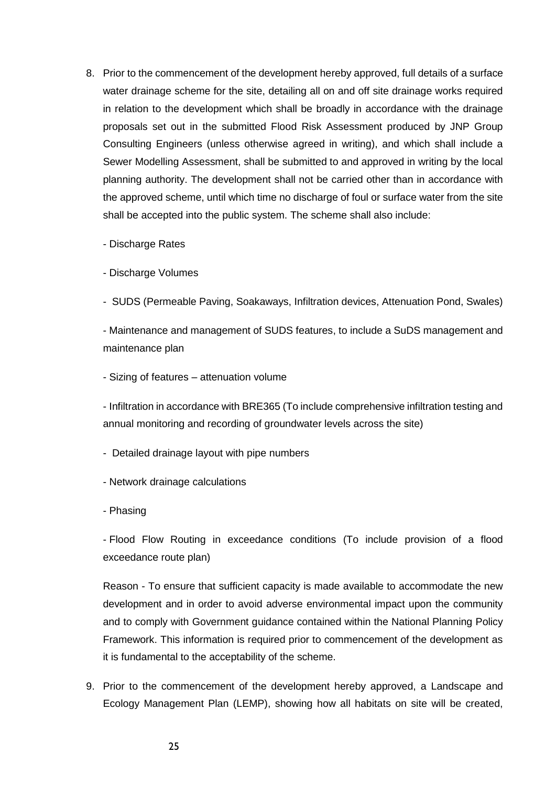8. Prior to the commencement of the development hereby approved, full details of a surface water drainage scheme for the site, detailing all on and off site drainage works required in relation to the development which shall be broadly in accordance with the drainage proposals set out in the submitted Flood Risk Assessment produced by JNP Group Consulting Engineers (unless otherwise agreed in writing), and which shall include a Sewer Modelling Assessment, shall be submitted to and approved in writing by the local planning authority. The development shall not be carried other than in accordance with the approved scheme, until which time no discharge of foul or surface water from the site shall be accepted into the public system. The scheme shall also include:

- Discharge Rates

- Discharge Volumes

- SUDS (Permeable Paving, Soakaways, Infiltration devices, Attenuation Pond, Swales)

- Maintenance and management of SUDS features, to include a SuDS management and maintenance plan

- Sizing of features – attenuation volume

- Infiltration in accordance with BRE365 (To include comprehensive infiltration testing and annual monitoring and recording of groundwater levels across the site)

- Detailed drainage layout with pipe numbers
- Network drainage calculations
- Phasing

- Flood Flow Routing in exceedance conditions (To include provision of a flood exceedance route plan)

Reason - To ensure that sufficient capacity is made available to accommodate the new development and in order to avoid adverse environmental impact upon the community and to comply with Government guidance contained within the National Planning Policy Framework. This information is required prior to commencement of the development as it is fundamental to the acceptability of the scheme.

9. Prior to the commencement of the development hereby approved, a Landscape and Ecology Management Plan (LEMP), showing how all habitats on site will be created,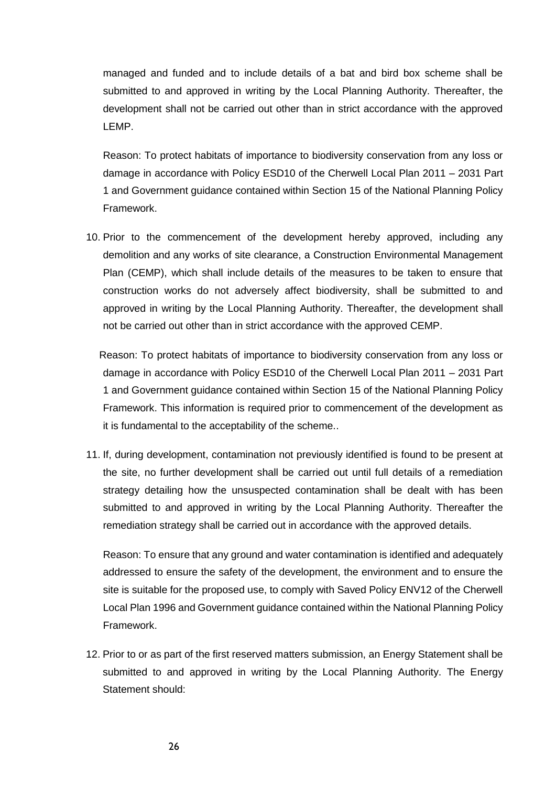managed and funded and to include details of a bat and bird box scheme shall be submitted to and approved in writing by the Local Planning Authority. Thereafter, the development shall not be carried out other than in strict accordance with the approved LEMP.

Reason: To protect habitats of importance to biodiversity conservation from any loss or damage in accordance with Policy ESD10 of the Cherwell Local Plan 2011 – 2031 Part 1 and Government guidance contained within Section 15 of the National Planning Policy Framework.

10. Prior to the commencement of the development hereby approved, including any demolition and any works of site clearance, a Construction Environmental Management Plan (CEMP), which shall include details of the measures to be taken to ensure that construction works do not adversely affect biodiversity, shall be submitted to and approved in writing by the Local Planning Authority. Thereafter, the development shall not be carried out other than in strict accordance with the approved CEMP.

Reason: To protect habitats of importance to biodiversity conservation from any loss or damage in accordance with Policy ESD10 of the Cherwell Local Plan 2011 – 2031 Part 1 and Government guidance contained within Section 15 of the National Planning Policy Framework. This information is required prior to commencement of the development as it is fundamental to the acceptability of the scheme..

11. If, during development, contamination not previously identified is found to be present at the site, no further development shall be carried out until full details of a remediation strategy detailing how the unsuspected contamination shall be dealt with has been submitted to and approved in writing by the Local Planning Authority. Thereafter the remediation strategy shall be carried out in accordance with the approved details.

Reason: To ensure that any ground and water contamination is identified and adequately addressed to ensure the safety of the development, the environment and to ensure the site is suitable for the proposed use, to comply with Saved Policy ENV12 of the Cherwell Local Plan 1996 and Government guidance contained within the National Planning Policy Framework.

12. Prior to or as part of the first reserved matters submission, an Energy Statement shall be submitted to and approved in writing by the Local Planning Authority. The Energy Statement should: